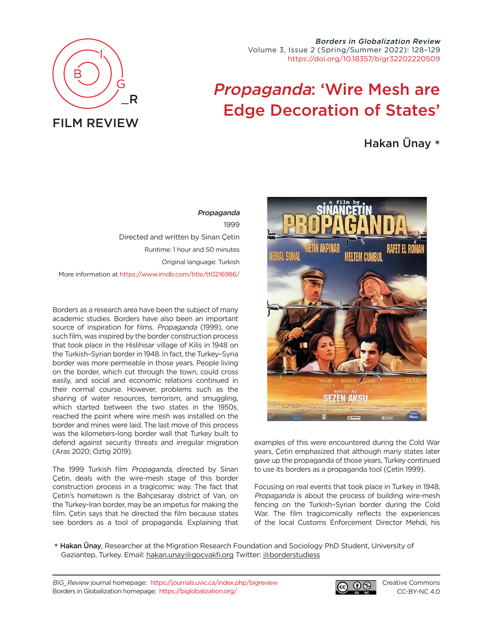

Borders in Globalization Review Volume 3, Issue 2 (Spring/Summer 2022): 128–129 [https://doi.org/10.18357/bigr32202220509](https://doi.org/10.18357/bigr32202220509 )

## Propaganda: 'Wire Mesh are Edge Decoration of States'

## Hakan Ünay \*

Propaganda 1999 Directed and written by Sinan Çetin Runtime: 1 hour and 50 minutes Original language: Turkish More information at <https://www.imdb.com/title/tt0216986/>

Borders as a research area have been the subject of many academic studies. Borders have also been an important source of inspiration for films. Propaganda (1999), one such film, was inspired by the border construction process that took place in the Hislihisar village of Kilis in 1948 on the Turkish–Syrian border in 1948. In fact, the Turkey–Syria border was more permeable in those years. People living on the border, which cut through the town, could cross easily, and social and economic relations continued in their normal course. However, problems such as the sharing of water resources, terrorism, and smuggling, which started between the two states in the 1950s, reached the point where wire mesh was installed on the border and mines were laid. The last move of this process was the kilometers-long border wall that Turkey built to defend against security threats and irregular migration (Aras 2020; Oztig 2019).

The 1999 Turkish film Propaganda, directed by Sinan Çetin, deals with the wire-mesh stage of this border construction process in a tragicomic way. The fact that Çetin's hometown is the Bahçesaray district of Van, on the Turkey-Iran border, may be an impetus for making the film. Çetin says that he directed the film because states see borders as a tool of propaganda. Explaining that



examples of this were encountered during the Cold War years, Çetin emphasized that although many states later gave up the propaganda of those years, Turkey continued to use its borders as a propaganda tool (Çetin 1999).

Focusing on real events that took place in Turkey in 1948, Propaganda is about the process of building wire-mesh fencing on the Turkish–Syrian border during the Cold War. The film tragicomically reflects the experiences of the local Customs Enforcement Director Mehdi, his

\* Hakan Ünay, Researcher at the Migration Research Foundation and Sociology PhD Student, University of Gaziantep, Turkey. Email: [hakan.unay@gocvakfi.org](mailto:hakan.unay%40gocvakfi.org?subject=) Twitter: [@borderstudiess](https://twitter.com/borderstudiess)

BIG\_Review journal homepage: <https://journals.uvic.ca/index.php/bigreview> Borders in Globalization homepage: <https://biglobalization.org/>



[Creative Commons](https://creativecommons.org/licenses/by-nc/4.0/) [CC-BY-NC 4.0](https://creativecommons.org/licenses/by-nc/4.0/)